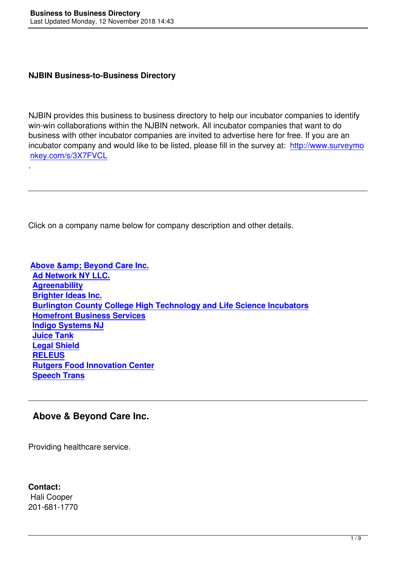#### **NJBIN Business-to-Business Directory**

NJBIN provides this business to business directory to help our incubator companies to identify win-win collaborations within the NJBIN network. All incubator companies that want to do business with other incubator companies are invited to advertise here for free. If you are an incubator company and would like to be listed, please fill in the survey at: http://www.surveymo nkey.com/s/3X7FVCL

Click on a company name below for company description and other details.

**Above & amp; Beyond Care Inc. Ad Network NY LLC. Agreenability [Brighter Ideas Inc.](#Above II) [Burlington County C](#Ad Network II)ollege High Technology and Life Science Incubators [Homefront Bu](#Agreenabiity II)siness Services [Indigo Systems NJ](#Brighter Ideas) [Juice Tank](#Burlington II) [Legal Shield](#Homefront II) [RELEUS](#Indigo Systems II) [Rutgers Fo](#Juice Tank)od Innovation Center [Speech Tran](#Legal Shield)s**

#### **[Above & Be](#Speech Trans II)yond Care Inc.**

Providing healthcare service.

**Contact:** Hali Cooper 201-681-1770

.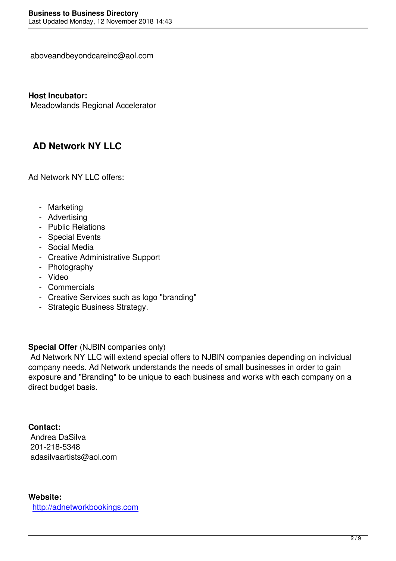#### **Host Incubator:**

Meadowlands Regional Accelerator

## **AD Network NY LLC**

Ad Network NY LLC offers:

- Marketing
- Advertising
- Public Relations
- Special Events
- Social Media
- Creative Administrative Support
- Photography
- Video
- Commercials
- Creative Services such as logo "branding"
- Strategic Business Strategy.

#### **Special Offer** (NJBIN companies only)

 Ad Network NY LLC will extend special offers to NJBIN companies depending on individual company needs. Ad Network understands the needs of small businesses in order to gain exposure and "Branding" to be unique to each business and works with each company on a direct budget basis.

#### **Contact:**

 Andrea DaSilva 201-218-5348 adasilvaartists@aol.com

#### **Website:** http://adnetworkbookings.com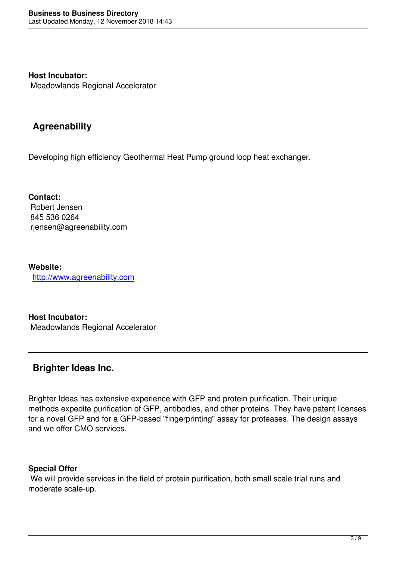**Host Incubator:** Meadowlands Regional Accelerator

# **Agreenability**

Developing high efficiency Geothermal Heat Pump ground loop heat exchanger.

**Contact:** Robert Jensen 845 536 0264 rjensen@agreenability.com

**Website:**  http://www.agreenability.com

**[Host Incubator:](http://www.agreenability.com)** Meadowlands Regional Accelerator

## **Brighter Ideas Inc.**

Brighter Ideas has extensive experience with GFP and protein purification. Their unique methods expedite purification of GFP, antibodies, and other proteins. They have patent licenses for a novel GFP and for a GFP-based "fingerprinting" assay for proteases. The design assays and we offer CMO services.

#### **Special Offer**

 We will provide services in the field of protein purification, both small scale trial runs and moderate scale-up.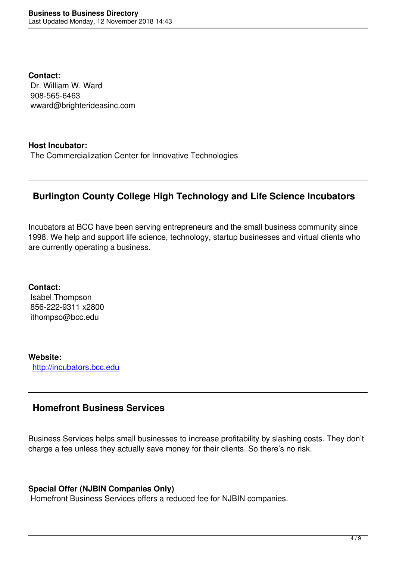**Contact:** Dr. William W. Ward 908-565-6463 wward@brighterideasinc.com

#### **Host Incubator:**

The Commercialization Center for Innovative Technologies

## **Burlington County College High Technology and Life Science Incubators**

Incubators at BCC have been serving entrepreneurs and the small business community since 1998. We help and support life science, technology, startup businesses and virtual clients who are currently operating a business.

**Contact:** Isabel Thompson 856-222-9311 x2800 ithompso@bcc.edu

**Website:** http://incubators.bcc.edu

### **[Homefront Business](http://incubators.bcc.edu) Services**

Business Services helps small businesses to increase profitability by slashing costs. They don't charge a fee unless they actually save money for their clients. So there's no risk.

#### **Special Offer (NJBIN Companies Only)**

Homefront Business Services offers a reduced fee for NJBIN companies.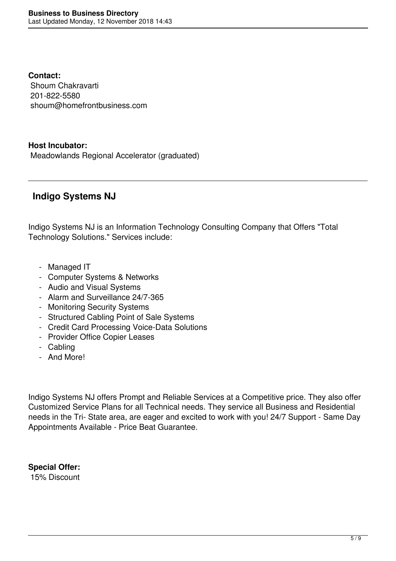**Contact:** Shoum Chakravarti 201-822-5580 shoum@homefrontbusiness.com

#### **Host Incubator:**

Meadowlands Regional Accelerator (graduated)

## **Indigo Systems NJ**

Indigo Systems NJ is an Information Technology Consulting Company that Offers "Total Technology Solutions." Services include:

- Managed IT
- Computer Systems & Networks
- Audio and Visual Systems
- Alarm and Surveillance 24/7-365
- Monitoring Security Systems
- Structured Cabling Point of Sale Systems
- Credit Card Processing Voice-Data Solutions
- Provider Office Copier Leases
- Cabling
- And More!

Indigo Systems NJ offers Prompt and Reliable Services at a Competitive price. They also offer Customized Service Plans for all Technical needs. They service all Business and Residential needs in the Tri- State area, are eager and excited to work with you! 24/7 Support - Same Day Appointments Available - Price Beat Guarantee.

**Special Offer:** 15% Discount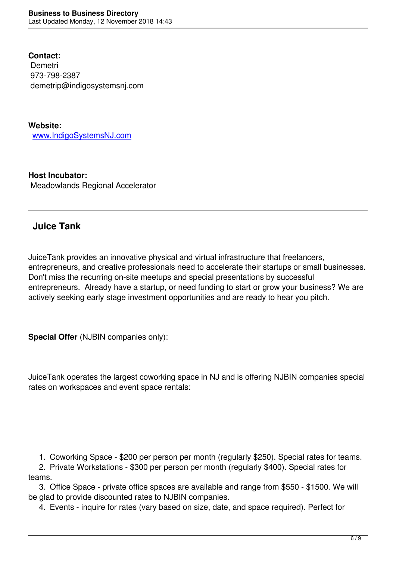**Contact: Demetri**  973-798-2387 demetrip@indigosystemsnj.com

**Website:** www.IndigoSystemsNJ.com

**[Host Incubator:](http://www.IndigoSystemsNJ.com)** Meadowlands Regional Accelerator

# **Juice Tank**

JuiceTank provides an innovative physical and virtual infrastructure that freelancers, entrepreneurs, and creative professionals need to accelerate their startups or small businesses. Don't miss the recurring on-site meetups and special presentations by successful entrepreneurs. Already have a startup, or need funding to start or grow your business? We are actively seeking early stage investment opportunities and are ready to hear you pitch.

**Special Offer** (NJBIN companies only):

JuiceTank operates the largest coworking space in NJ and is offering NJBIN companies special rates on workspaces and event space rentals:

1. Coworking Space - \$200 per person per month (regularly \$250). Special rates for teams.

 2. Private Workstations - \$300 per person per month (regularly \$400). Special rates for teams.

 3. Office Space - private office spaces are available and range from \$550 - \$1500. We will be glad to provide discounted rates to NJBIN companies.

4. Events - inquire for rates (vary based on size, date, and space required). Perfect for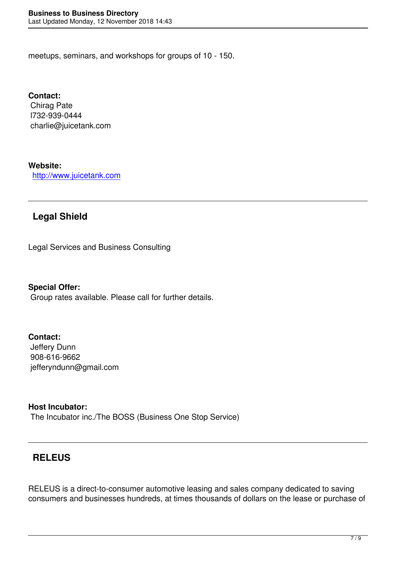meetups, seminars, and workshops for groups of 10 - 150.

**Contact:** Chirag Pate l732-939-0444 charlie@juicetank.com

**Website:**

http://www.juicetank.com

### **[Legal Shield](http://www.juicetank.com)**

Legal Services and Business Consulting

**Special Offer:** Group rates available. Please call for further details.

#### **Contact:**

 Jeffery Dunn 908-616-9662 jefferyndunn@gmail.com

#### **Host Incubator:**

The Incubator inc./The BOSS (Business One Stop Service)

### **RELEUS**

RELEUS is a direct-to-consumer automotive leasing and sales company dedicated to saving consumers and businesses hundreds, at times thousands of dollars on the lease or purchase of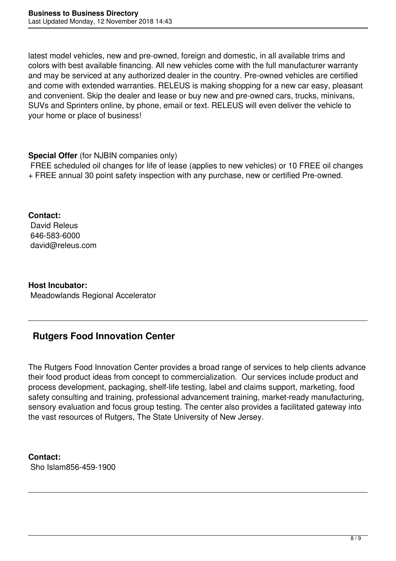latest model vehicles, new and pre-owned, foreign and domestic, in all available trims and colors with best available financing. All new vehicles come with the full manufacturer warranty and may be serviced at any authorized dealer in the country. Pre-owned vehicles are certified and come with extended warranties. RELEUS is making shopping for a new car easy, pleasant and convenient. Skip the dealer and lease or buy new and pre-owned cars, trucks, minivans, SUVs and Sprinters online, by phone, email or text. RELEUS will even deliver the vehicle to your home or place of business!

#### **Special Offer** (for NJBIN companies only)

 FREE scheduled oil changes for life of lease (applies to new vehicles) or 10 FREE oil changes + FREE annual 30 point safety inspection with any purchase, new or certified Pre-owned.

**Contact:** David Releus 646-583-6000 david@releus.com

**Host Incubator:** Meadowlands Regional Accelerator

# **Rutgers Food Innovation Center**

The Rutgers Food Innovation Center provides a broad range of services to help clients advance their food product ideas from concept to commercialization. Our services include product and process development, packaging, shelf-life testing, label and claims support, marketing, food safety consulting and training, professional advancement training, market-ready manufacturing, sensory evaluation and focus group testing. The center also provides a facilitated gateway into the vast resources of Rutgers, The State University of New Jersey.

**Contact:** Sho Islam856-459-1900